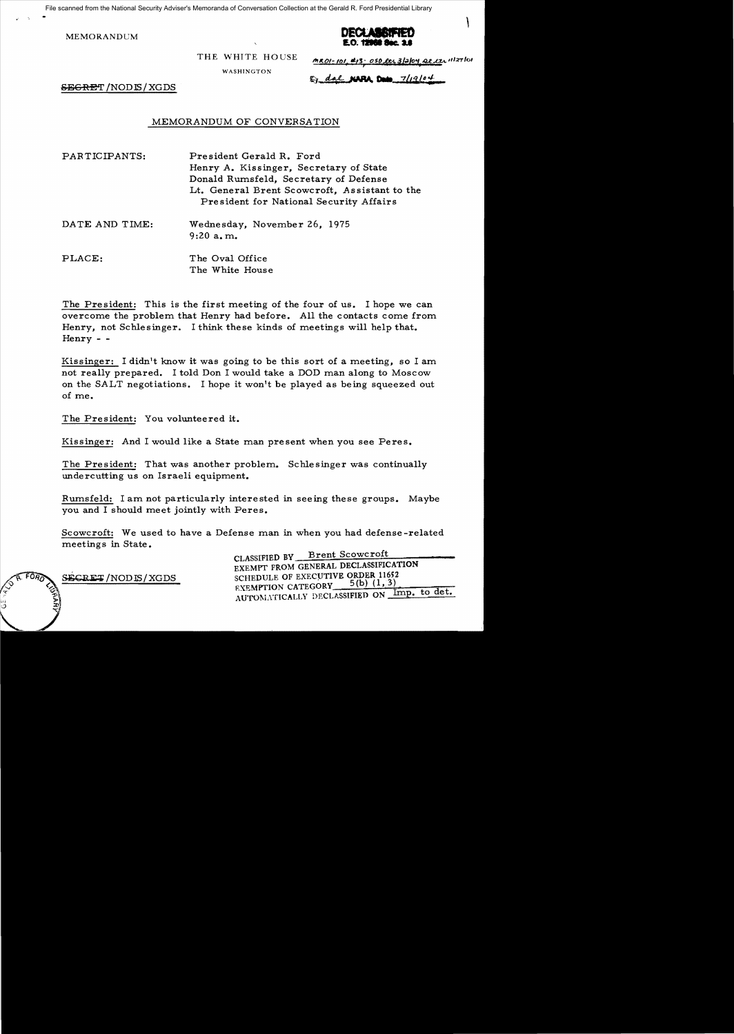File scanned from the National Security Adviser's Memoranda of Conversation Collection at the Gerald R. Ford Presidential Library

MEMORANDCM



THE WHITE HOUSE

WASHINGTON

 $MRO1-101$ ,  $4/3.050$  lts 3/2/04 Qt its 11/27/01

\

 $\mathbb{S}$  dal NAPA Date 7/19/04

 $S\to$ GR $E$ T $/$ NOD $S/$ XGDS

## MEMORANDUM OF CONVERSATION

PARTICIPANTS: President Gerald R. Ford Henry A. Kissinger, Secretary of State Donald Rumsfeld, Secretary of Defense Lt. General Brent Scowcroft, Assistant to the President for National Security Affairs

DATE AND TIME: Wednesday, November 26, 1975 9:20 a. m..

PLACE: The Oval Office The White House

The President: This is the first meeting of the four of us. I hope we can overcome the problem that Henry had before. All the contacts come from. Henry, not Schlesinger. I think these kinds of meetings will help that. Henry - -

Kissinger: I didn't know it was going to be this sort of a meeting, so I am. not really prepared. I told Don I would take a DOD man along to Moscow on the SALT negotiations. I hope it won't be played as being squeezed out of me.

The President: You volunteered it.

Kissinger: And I would like a State man present when you see Peres.

The President: That was another problem.. Schlesinger was continually undercutting us on Israeli equipment.

Rumsfeld: I am not particularly interested in seeing these groups. Maybe you and I should meet jointly with Peres.

Scowcroft: We used to have a Defense man in when you had defense-related meetings in State.

CLASSIFIED BY Brent Scowcroft EXEMPT FROM GENERAL DECLASSIFICATION  $S$ ECRET/NODIS/XGDS SCHEDULE OF EXECUTIVE ORDER 11652 EXEMPTION CATEGORY AUTOMATICALLY DECLASSIFIED ON Imp. to det.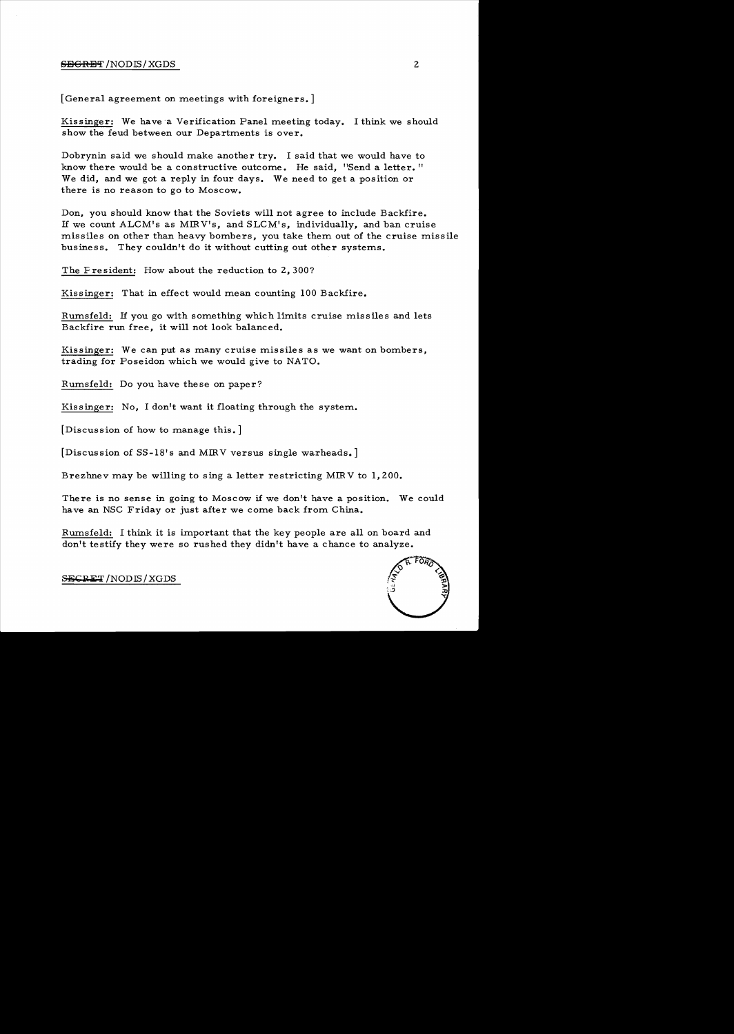## $S$ EGRET /NODIS/ XGDS 2

[General agreement on meetings with foreigners.]

Kissinger: We have a Verification Panel meeting today. I think we should show the feud between our Departments is over.

Dobrynin said we should make another try. I said that we would have to know there would be a constructive outcome. He said, "Send a letter." We did, and we got a reply in four days. We need to get a position or there is no reason to go to Moscow.

Don, you should know that the Soviets will not agree to include Backfire. If we count ALCM's as MIRV's, and SLCM's, individually, and ban cruise missiles on other than heavy bombers, you take them out of the cruise missile business. They couldn't do it without cutting out other systems.

The Fresident: How about the reduction to 2, 300?

Kissinger: That in effect would mean counting 100 Backfire.

Rumsfeld: If you go with something which limits cruise missiles and lets Backfire run free, it will not look balanced.

Kissinger: We can put as many cruise missiles as we want on bombers, trading for Poseidon which we would give to NATO.

Rumsfeld: Do you have these on paper?

Kissinger: No, I don't want it floating through the system..

[Discussion of how to manage this.]

[Discussion of SS-18's and MIRV versus single warheads.]

Brezhnev may be willing to sing a letter restricting MIRV to 1,200.

There is no sense in going to Moscow if we don't have a position. We could have an NSC Friday or just after we come back from China.

Rumsfeld: I think it is important that the key people are all on board and don't testify they were so rushed they didn't have a chance to analyze.



S<del>ECRET</del> /NODIS / XGDS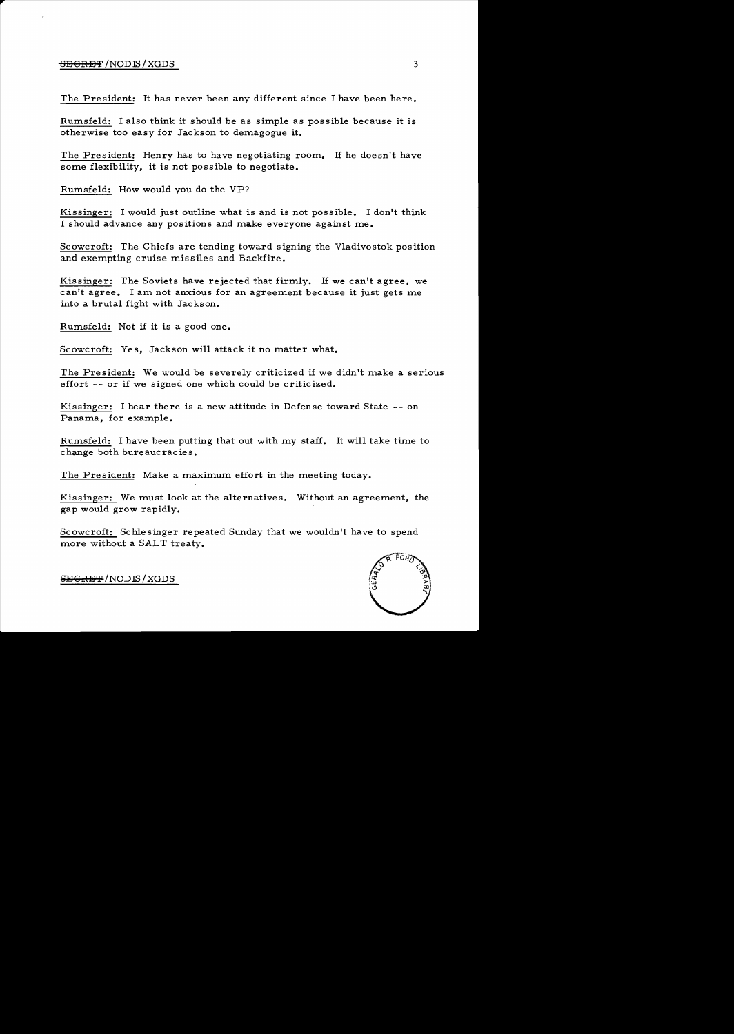## <del>SECRET</del> /NODIS / XGDS 3

The President: It has never been any different since I have been here.

Rumsfeld: I also think it should be as simple as possible because it is otherwise too easy for Jackson to demagogue it.

The President: Henry has to have negotiating room. If he doesn't have some flexibility, it is not possible to negotiate.

Rumsfeld: How would you do the VP?

Kissinger: I would just outline what is and is not possible. I don't think I should advance any positions and make everyone against me.

Scowcroft: The Chiefs are tending toward signing the Vladivostok position and exempting cruise missiles and Backfire.

Kissinger: The Soviets have rejected that firmly. If we can't agree, we can't agree. I am not anxious for an agreement because it just gets me into a brutal fight with Jackson.

Rumsfeld: Not if it is a good one.

Scowcroft: Yes, Jackson will attack it no matter what.

The President: We would be severely criticized if we didn't make a serious effort -- or if we signed one which could be criticized.

Kissinger: I hear there is a new attitude in Defense toward State -- on Panama, for example.

Rumsfeld: I have been putting that out with my staff. It will take time to change both bureaucracies.

The President: Make a maximum effort in the meeting today.

Kissinger: We must look at the alternatives. Without an agreement, the gap would grow rapidly.

Scowcroft: Schlesinger repeated Sunday that we wouldn't have to spend more without a SALT treaty.



SEGRET/NODIS/XGDS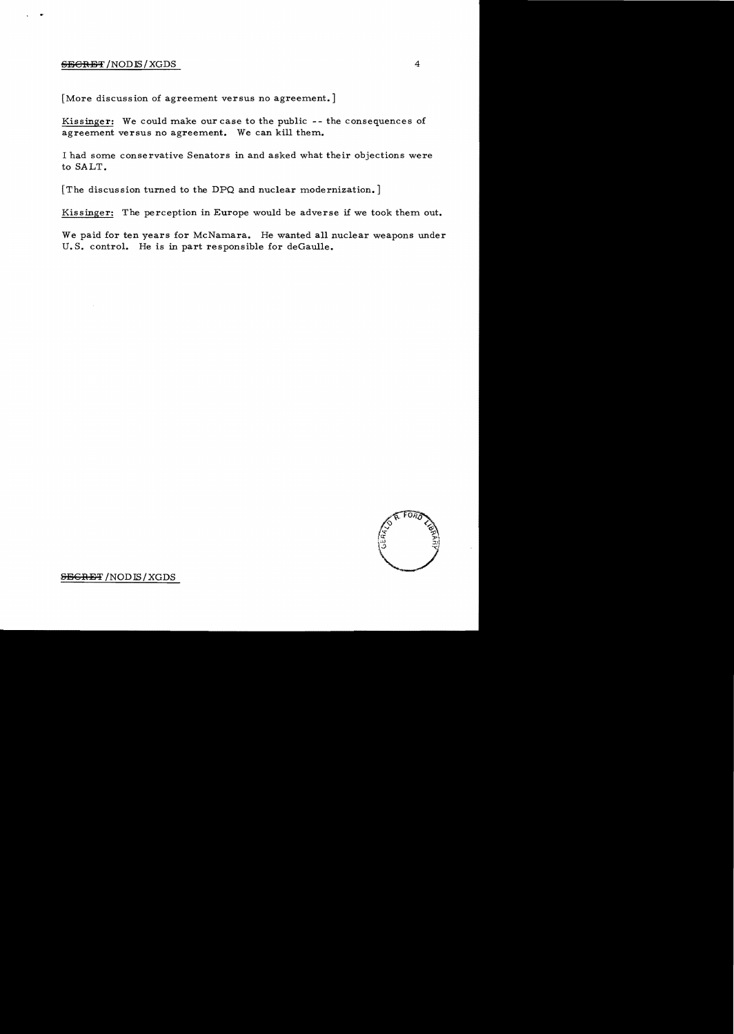## **6E&RET** /NODIS/XGDS 4

[More discussion of agreement versus no agreement.]

Kissinger: We could make our case to the public -- the consequences of agreement versus no agreement. We can kill them.

I had some conservative Senators in and asked what their objections were to SALT.

[The discussion turned to the DPQ and nuclear modernization.]

Kissinger: The perception in Europe would be adverse if we took them out.

We paid for ten years for McNamara. He wanted all nuclear weapons under U.S. control. He is in part responsible for deGaulle.



**SECRET** /NODIS/XGDS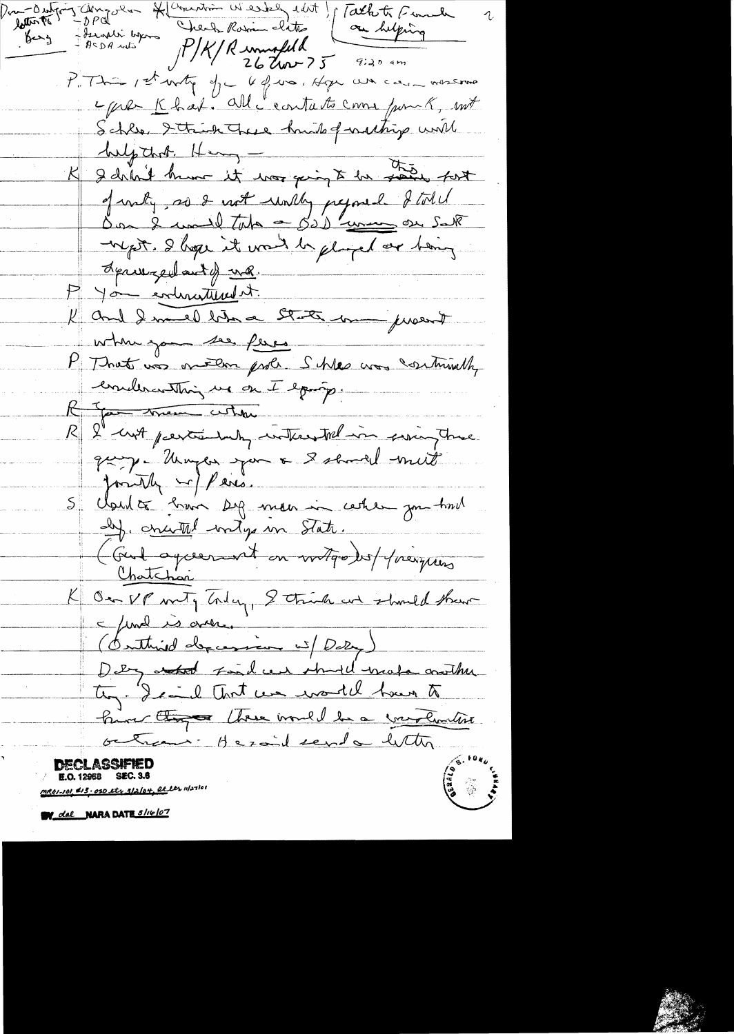Jamyra Harnin Wester edit p Tath to Fund latter ! Check Rowin clats on helping Bergali byen  $e^{\frac{1}{2}x}$  $P/K/R$  united that  $\frac{1}{262}$ P. This 1st writing of 6 4 was object with care more more c que Khal. All c'eartats come from K, mit Schlee, Itaich These hunder for withing with help that. Henny - 11 the the soir fort of voly, as I worth world, prejoned I told myst. I hope it want be glorifed or him, derweged and of wh. P You enhantement. K and I med bien a State man proent when you see ferre -P That was on the probe Schles was continuedly evaleranthing us on I epouse. Report them when R l'int partie un interested in soing true posibly well know 5 claud à 2 min sy mon in certer par tail I crutted with into . (Gut agreement on witgo) et présiries K Ou VP mety Today, Strich and should share c final is over. (Conthird depression is/ Dely) Dety attend Fond cent stand make onother they. I said that we would have to him they there would be a contention octrons - Heraid send a letter **DECLASSIFIED E.O. 12968 SEC. 3.6** Jane<br>Version<br>Version MR01-101, \$13, 050 et x 3/2/04, Rt ler 11/27/01

W dal NARA DATE 5/16/07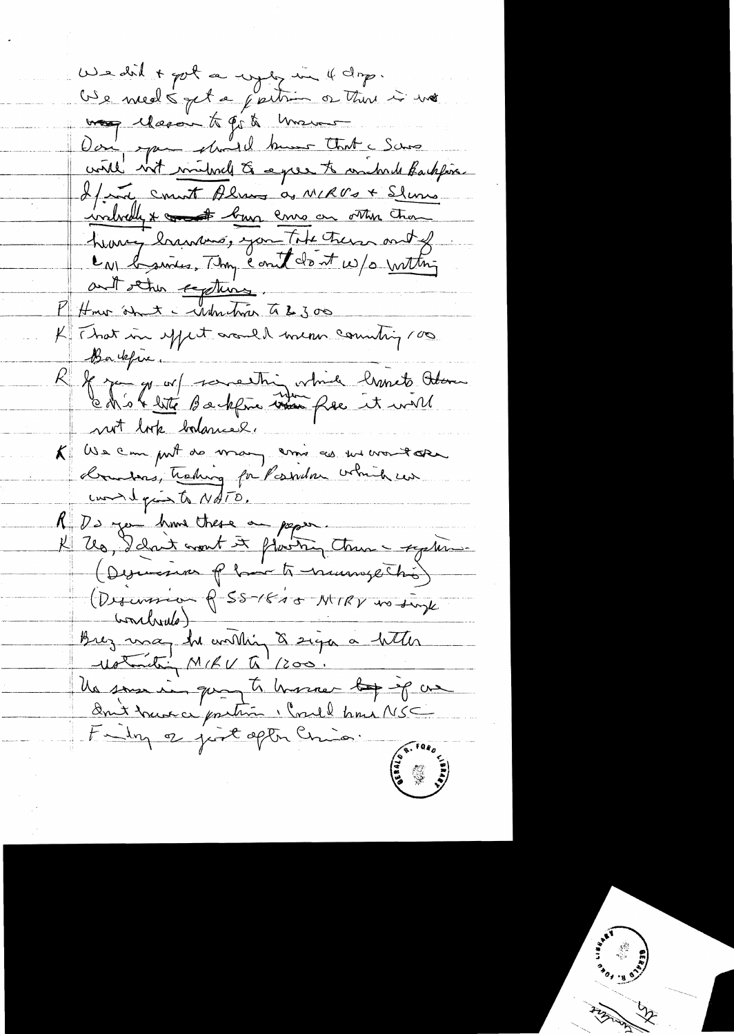We don't got a wyly in 4 dop. Use med 5 pct a faitre or there is no was eleccion to go to unsure Dan pour should know that I was If not count Almos as MIRUS + Slums <u>indredy & count burn cross on other than</u> heavy brancous, you take there and of La basines. They count don't w/s with ant other explains P Hour amit - when the 300 K That in spect arould mean counting roo Barkfive. If you go auf something which hands about<br>Ch'est little Backfrie was free it will not look balancel. K We can put de man assistant voudore  $uncl$  quinto NATO. R Ds you have these a paper K Up, I dont mont et plasting tous - replice (Descence of have to numerations) (Difusion & 55-1815 MIRV no single Conclude) Brez una du conthin à sign à hetter Wohnibing MIRU To' 1200. Un sous in que à hommer le jeg ce Fundy of just optim Chica.  $\frac{1}{2}$   $\frac{1}{2}$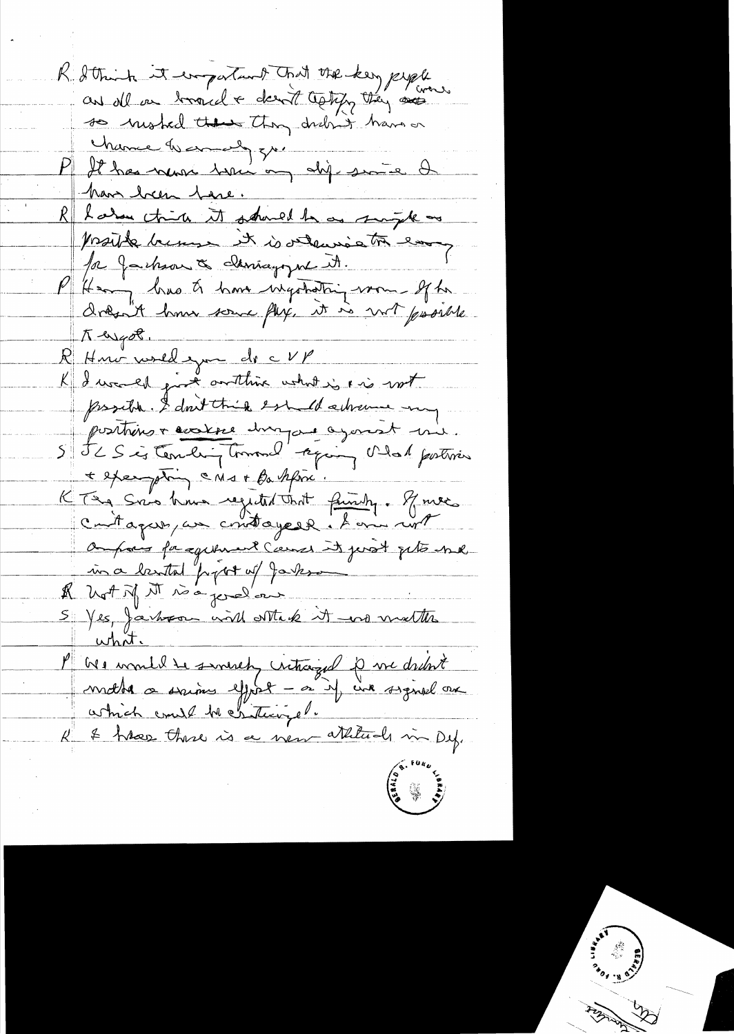R. Sthink it emportant that the key people. so mosted these thought have on Marnie de marie 27 mil 1905 en 2007 have been terre. R harden think it should be a single as proude become it is vitages to eng pa Jackson & claricagozone it. P Henry has tr'homme ingotatriquement of the Teyot. K Huir world you do c VP KI I was the give orthing what is in not possible. I don't think est it advance my positions + acatere duragant agence t une. 5 Jc S is ternberg transl' region and postmer + exempting CMs+ Basspri. KTEA Sino him regulationt finishy. Truce ampais facquement Cemes it just pets me A hot of MI side perd'our S Yes, Jackson with others it wis matter what P We would be sincerely vitroized p we dretat 2<br>|<br>|<br>|<br>|